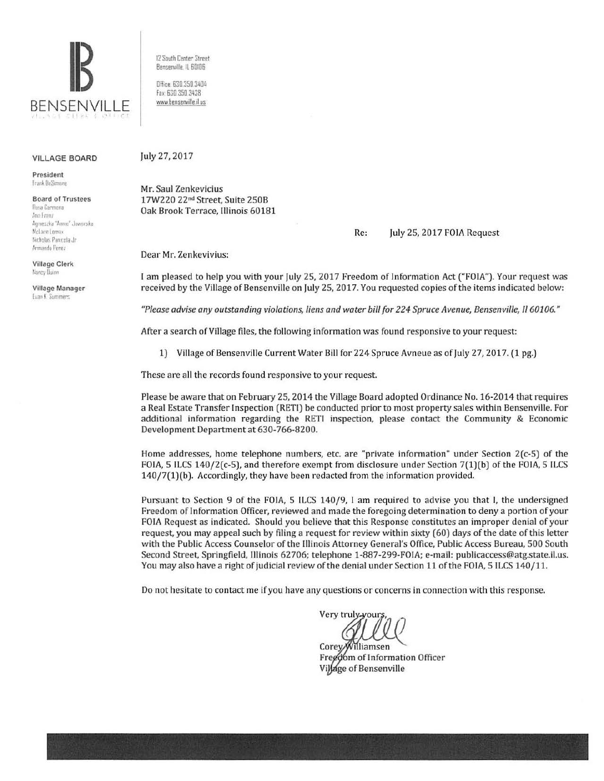

**VILLAGE BOARD** 

President Frank IloSimone

**Board of Trustees** Rosa Carmona Ano Franz Agnieszka "Annio" Jaworska. McLane Lomax Nicholas Panicola Jr Armando Perez

**Village Clerk** Nancy Duinn

Village Manager Evan K Summers

12 South Center Street Bensenville, IL 60106

Office: 630,350.3404 Fax: 630 350 3438 www.bensenville.ilus

## July 27, 2017

Mr. Saul Zenkevicius 17W220 22<sup>nd</sup> Street, Suite 250B Oak Brook Terrace, Illinois 60181

## July 25, 2017 FOIA Request Re:

Dear Mr. Zenkevivius:

I am pleased to help you with your July 25, 2017 Freedom of Information Act ("FOIA"). Your request was received by the Village of Bensenville on July 25, 2017. You requested copies of the items indicated below:

"Please advise any outstanding violations, liens and water bill for 224 Spruce Avenue, Bensenville, Il 60106."

After a search of Village files, the following information was found responsive to your request:

1) Village of Bensenville Current Water Bill for 224 Spruce Avneue as of July 27, 2017. (1 pg.)

These are all the records found responsive to your request.

Please be aware that on February 25, 2014 the Village Board adopted Ordinance No. 16-2014 that requires a Real Estate Transfer Inspection (RETI) be conducted prior to most property sales within Bensenville. For additional information regarding the RETI inspection, please contact the Community & Economic Development Department at 630-766-8200.

Home addresses, home telephone numbers, etc. are "private information" under Section 2(c-5) of the FOIA, 5 ILCS 140/2(c-5), and therefore exempt from disclosure under Section 7(1)(b) of the FOIA, 5 ILCS 140/7(1)(b). Accordingly, they have been redacted from the information provided.

Pursuant to Section 9 of the FOIA, 5 ILCS 140/9, I am required to advise you that I, the undersigned Freedom of Information Officer, reviewed and made the foregoing determination to deny a portion of your FOIA Request as indicated. Should you believe that this Response constitutes an improper denial of your request, you may appeal such by filing a request for review within sixty (60) days of the date of this letter with the Public Access Counselor of the Illinois Attorney General's Office, Public Access Bureau, 500 South Second Street, Springfield, Illinois 62706; telephone 1-887-299-FOIA; e-mail: publicaccess@atg.state.il.us. You may also have a right of judicial review of the denial under Section 11 of the FOIA, 5 ILCS 140/11.

Do not hesitate to contact me if you have any questions or concerns in connection with this response.

Very truly vour

Corey/Williamsen Freedom of Information Officer Village of Bensenville